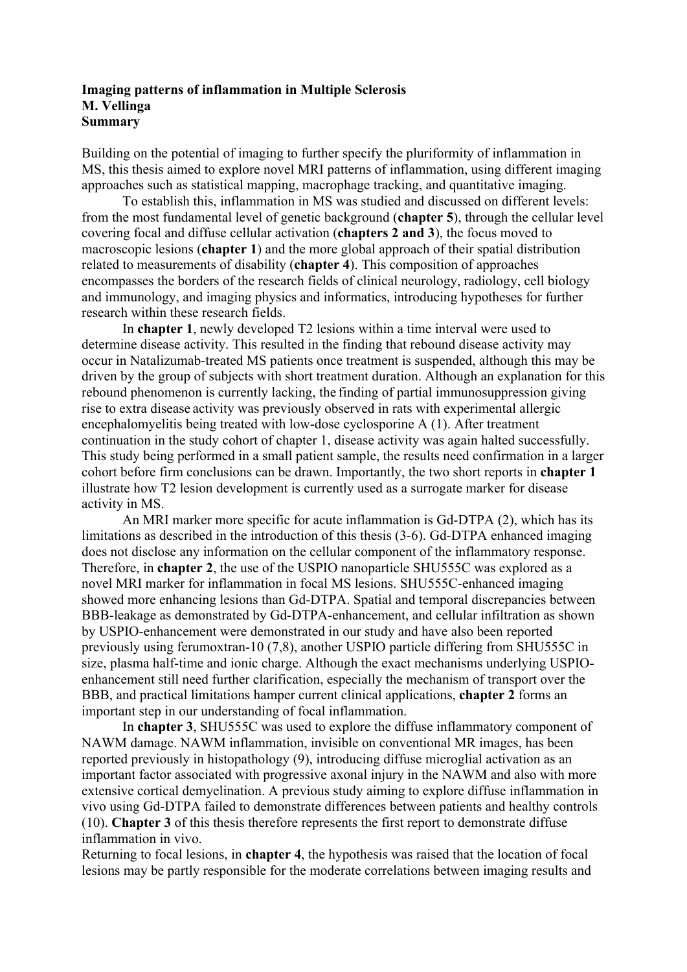## **Imaging patterns of inflammation in Multiple Sclerosis M. Vellinga Summary**

Building on the potential of imaging to further specify the pluriformity of inflammation in MS, this thesis aimed to explore novel MRI patterns of inflammation, using different imaging approaches such as statistical mapping, macrophage tracking, and quantitative imaging.

To establish this, inflammation in MS was studied and discussed on different levels: from the most fundamental level of genetic background (**chapter 5**), through the cellular level covering focal and diffuse cellular activation (**chapters 2 and 3**), the focus moved to macroscopic lesions (**chapter 1**) and the more global approach of their spatial distribution related to measurements of disability (**chapter 4**). This composition of approaches encompasses the borders of the research fields of clinical neurology, radiology, cell biology and immunology, and imaging physics and informatics, introducing hypotheses for further research within these research fields.

In **chapter 1**, newly developed T2 lesions within a time interval were used to determine disease activity. This resulted in the finding that rebound disease activity may occur in Natalizumab-treated MS patients once treatment is suspended, although this may be driven by the group of subjects with short treatment duration. Although an explanation for this rebound phenomenon is currently lacking, the finding of partial immunosuppression giving rise to extra disease activity was previously observed in rats with experimental allergic encephalomyelitis being treated with low-dose cyclosporine A (1). After treatment continuation in the study cohort of chapter 1, disease activity was again halted successfully. This study being performed in a small patient sample, the results need confirmation in a larger cohort before firm conclusions can be drawn. Importantly, the two short reports in **chapter 1** illustrate how T2 lesion development is currently used as a surrogate marker for disease activity in MS.

An MRI marker more specific for acute inflammation is Gd-DTPA (2), which has its limitations as described in the introduction of this thesis (3-6). Gd-DTPA enhanced imaging does not disclose any information on the cellular component of the inflammatory response. Therefore, in **chapter 2**, the use of the USPIO nanoparticle SHU555C was explored as a novel MRI marker for inflammation in focal MS lesions. SHU555C-enhanced imaging showed more enhancing lesions than Gd-DTPA. Spatial and temporal discrepancies between BBB-leakage as demonstrated by Gd-DTPA-enhancement, and cellular infiltration as shown by USPIO-enhancement were demonstrated in our study and have also been reported previously using ferumoxtran-10 (7,8), another USPIO particle differing from SHU555C in size, plasma half-time and ionic charge. Although the exact mechanisms underlying USPIOenhancement still need further clarification, especially the mechanism of transport over the BBB, and practical limitations hamper current clinical applications, **chapter 2** forms an important step in our understanding of focal inflammation.

In **chapter 3**, SHU555C was used to explore the diffuse inflammatory component of NAWM damage. NAWM inflammation, invisible on conventional MR images, has been reported previously in histopathology (9), introducing diffuse microglial activation as an important factor associated with progressive axonal injury in the NAWM and also with more extensive cortical demyelination. A previous study aiming to explore diffuse inflammation in vivo using Gd-DTPA failed to demonstrate differences between patients and healthy controls (10). **Chapter 3** of this thesis therefore represents the first report to demonstrate diffuse inflammation in vivo.

Returning to focal lesions, in **chapter 4**, the hypothesis was raised that the location of focal lesions may be partly responsible for the moderate correlations between imaging results and